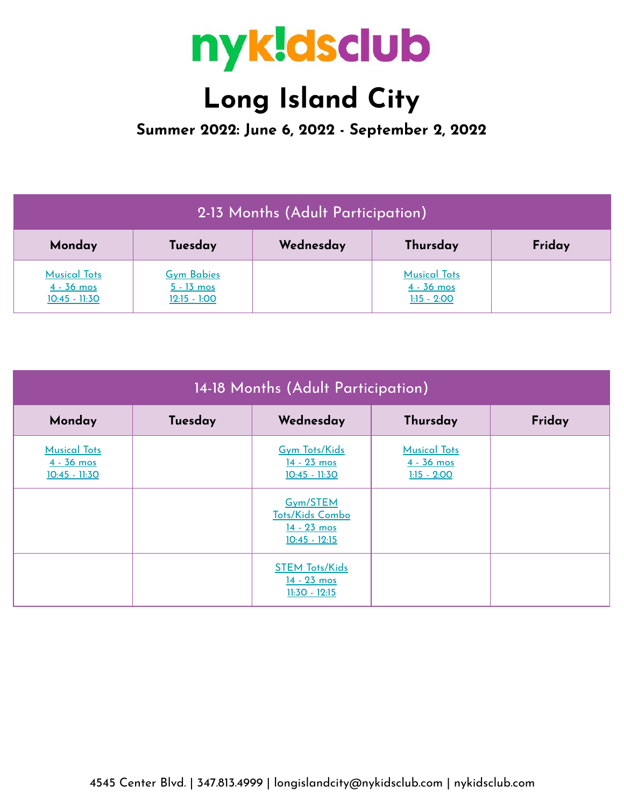

## **Long Island City**

**Summer 2022: June 6, 2022 - September 2, 2022**

| 2-13 Months (Adult Participation)                      |                                                     |           |                                                      |        |  |
|--------------------------------------------------------|-----------------------------------------------------|-----------|------------------------------------------------------|--------|--|
| Monday                                                 | Tuesday                                             | Wednesday | Thursday                                             | Friday |  |
| <b>Musical Tots</b><br>$4 - 36$ mos<br>$10:45 - 11:30$ | <b>Gym Babies</b><br>$5 - 13$ mos<br>$12:15 - 1:00$ |           | <b>Musical Tots</b><br>$4 - 36$ mos<br>$1:15 - 2:00$ |        |  |

| 14-18 Months (Adult Participation)                     |         |                                                               |                                                      |        |  |
|--------------------------------------------------------|---------|---------------------------------------------------------------|------------------------------------------------------|--------|--|
| Monday                                                 | Tuesday | Wednesday                                                     | Thursday                                             | Friday |  |
| <b>Musical Tots</b><br>$4 - 36$ mos<br>$10:45 - 11:30$ |         | <b>Gym Tots/Kids</b><br>$14 - 23$ mos<br>$10:45 - 11:30$      | <b>Musical Tots</b><br>$4 - 36$ mos<br>$1:15 - 2:00$ |        |  |
|                                                        |         | Gym/STEM<br>Tots/Kids Combo<br>14 - 23 mos<br>$10:45 - 12:15$ |                                                      |        |  |
|                                                        |         | <b>STEM Tots/Kids</b><br>14 - 23 mos<br>$11:30 - 12:15$       |                                                      |        |  |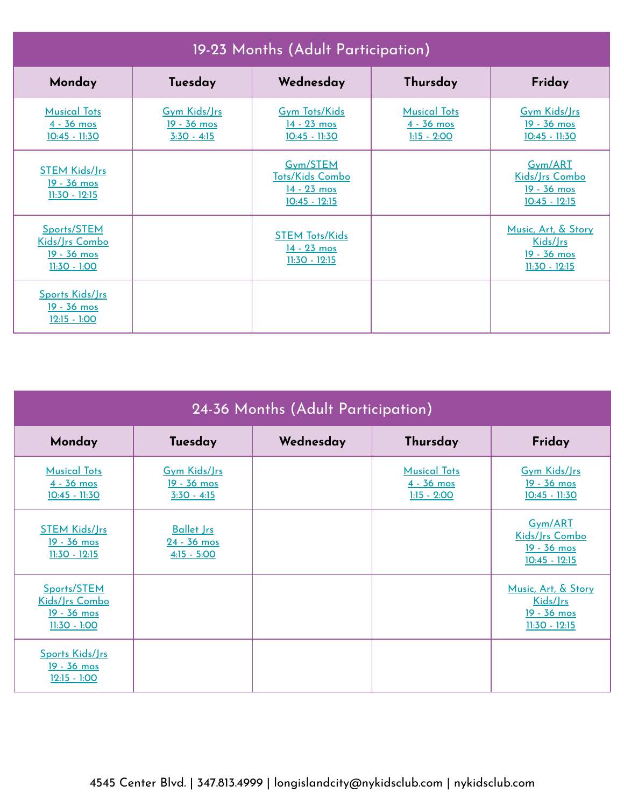| 19-23 Months (Adult Participation)                                          |                                                            |                                                                        |                                                      |                                                                         |  |
|-----------------------------------------------------------------------------|------------------------------------------------------------|------------------------------------------------------------------------|------------------------------------------------------|-------------------------------------------------------------------------|--|
| Monday                                                                      | Tuesday                                                    | Wednesday                                                              | Thursday                                             | Friday                                                                  |  |
| <b>Musical Tots</b><br>$4 - 36$ mos<br>$10:45 - 11:30$                      | <b>Gym Kids/Jrs</b><br><u>19 - 36 mos</u><br>$3:30 - 4:15$ | <b>Gym Tots/Kids</b><br>$14 - 23$ mos<br>$10:45 - 11:30$               | <b>Musical Tots</b><br>$4 - 36$ mos<br>$1:15 - 2:00$ | Gym Kids/Jrs<br><u>19 - 36 mos</u><br>$10:45 - 11:30$                   |  |
| <b>STEM Kids/Jrs</b><br>19 - 36 mos<br>$11:30 - 12:15$                      |                                                            | Gym/STEM<br><b>Tots/Kids Combo</b><br>$14 - 23$ mos<br>$10:45 - 12:15$ |                                                      | Gym/ART<br>Kids/Jrs Combo<br>19 - 36 mos<br>$10:45 - 12:15$             |  |
| Sports/STEM<br>Kids/Jrs Combo<br><u>19 - 36 mos</u><br><u> 11:30 - 1:00</u> |                                                            | <b>STEM Tots/Kids</b><br>14 - 23 mos<br><u> 11:30 - 12:15</u>          |                                                      | Music, Art, & Story<br>Kids/Jrs<br>19 - 36 mos<br><u> 11:30 - 12:15</u> |  |
| Sports Kids/Jrs<br><u>19 - 36 mos</u><br>$12:15 - 1:00$                     |                                                            |                                                                        |                                                      |                                                                         |  |

| 24-36 Months (Adult Participation)                               |                                                     |           |                                                      |                                                                   |  |
|------------------------------------------------------------------|-----------------------------------------------------|-----------|------------------------------------------------------|-------------------------------------------------------------------|--|
| Monday                                                           | Tuesday                                             | Wednesday | Thursday                                             | Friday                                                            |  |
| <b>Musical Tots</b><br>$4 - 36$ mos<br>$10:45 - 11:30$           | Gym Kids/Jrs<br>19 - 36 mos<br>$3:30 - 4:15$        |           | <b>Musical Tots</b><br>$4 - 36$ mos<br>$1:15 - 2:00$ | <b>Gym Kids/Jrs</b><br>19 - 36 mos<br>$10:45 - 11:30$             |  |
| <b>STEM Kids/Jrs</b><br><u>19 - 36 mos</u><br>$11:30 - 12:15$    | <b>Ballet Jrs</b><br>$24 - 36$ mos<br>$4:15 - 5:00$ |           |                                                      | Gym/ART<br>Kids/Jrs Combo<br>19 - 36 mos<br>$10:45 - 12:15$       |  |
| Sports/STEM<br>Kids/Jrs Combo<br>$19 - 36$ mos<br>$11:30 - 1:00$ |                                                     |           |                                                      | Music, Art, & Story<br>Kids/Jrs<br>19 - 36 mos<br>$11:30 - 12:15$ |  |
| Sports Kids/Jrs<br>19 - 36 mos<br>$12:15 - 1:00$                 |                                                     |           |                                                      |                                                                   |  |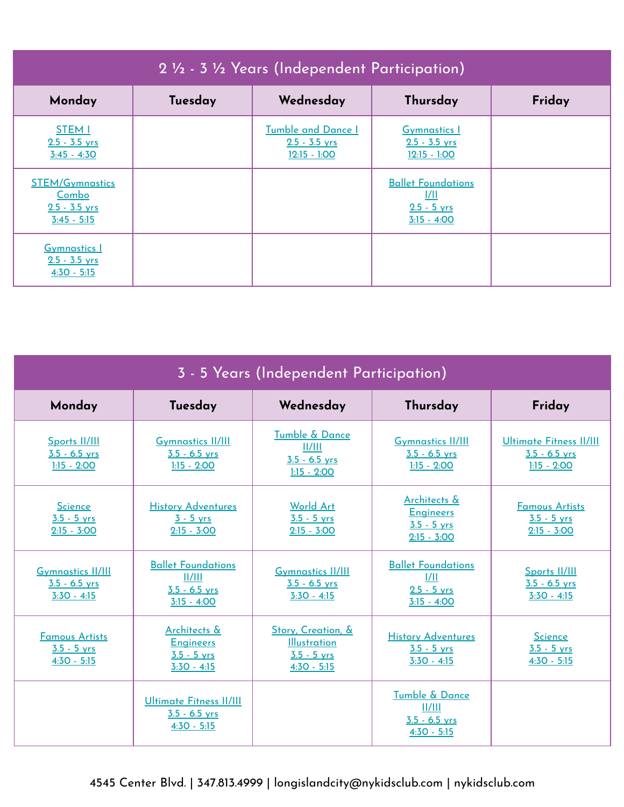| 2 1/2 - 3 1/2 Years (Independent Participation)                     |         |                                                                |                                                                            |        |  |
|---------------------------------------------------------------------|---------|----------------------------------------------------------------|----------------------------------------------------------------------------|--------|--|
| Monday                                                              | Tuesday | Wednesday                                                      | Thursday                                                                   | Friday |  |
| <b>STEM I</b><br>$2.5 - 3.5$ yrs<br>$3:45 - 4:30$                   |         | <b>Tumble and Dance I</b><br>$2.5 - 3.5$ yrs<br>$12:15 - 1:00$ | <b>Gymnastics</b> 1<br>$2.5 - 3.5$ yrs<br>$12:15 - 1:00$                   |        |  |
| <b>STEM/Gymnastics</b><br>Combo<br>$2.5 - 3.5$ yrs<br>$3:45 - 5:15$ |         |                                                                | <b>Ballet Foundations</b><br><u> /  </u><br>$2.5 - 5$ yrs<br>$3:15 - 4:00$ |        |  |
| <b>Gymnastics 1</b><br>$2.5 - 3.5$ yrs<br>$4:30 - 5:15$             |         |                                                                |                                                                            |        |  |

| 3 - 5 Years (Independent Participation)                      |                                                                         |                                                                             |                                                                         |                                                                    |  |
|--------------------------------------------------------------|-------------------------------------------------------------------------|-----------------------------------------------------------------------------|-------------------------------------------------------------------------|--------------------------------------------------------------------|--|
| Monday                                                       | Tuesday                                                                 | Wednesday                                                                   | Thursday                                                                | Friday                                                             |  |
| Sports II/III<br>$3.5 - 6.5$ yrs<br>$1:15 - 2:00$            | <b>Gymnastics II/III</b><br>$3.5 - 6.5$ yrs<br>$1:15 - 2:00$            | Tumble & Dance<br>II/III<br>$3.5 - 6.5$ yrs<br>$1:15 - 2:00$                | <b>Gymnastics II/III</b><br>$3.5 - 6.5$ yrs<br>$1:15 - 2:00$            | <b>Ultimate Fitness II/III</b><br>$3.5 - 6.5$ yrs<br>$1:15 - 2:00$ |  |
| <b>Science</b><br>$3.5 - 5$ yrs<br>$2:15 - 3:00$             | <b>History Adventures</b><br>$3 - 5$ yrs<br>$2:15 - 3:00$               | <b>World Art</b><br>$3.5 - 5$ vrs<br>$2:15 - 3:00$                          | Architects &<br><b>Engineers</b><br>$3.5 - 5$ yrs<br>$2:15 - 3:00$      | <b>Famous Artists</b><br>$3.5 - 5$ yrs<br>$2:15 - 3:00$            |  |
| <b>Gymnastics II/III</b><br>$3.5 - 6.5$ yrs<br>$3:30 - 4:15$ | <b>Ballet Foundations</b><br>  /   <br>$3.5 - 6.5$ yrs<br>$3:15 - 4:00$ | <b>Gymnastics II/III</b><br>$3.5 - 6.5$ yrs<br>3:30 - 4:15                  | <b>Ballet Foundations</b><br>1/11<br>$2.5 - 5$ yrs<br>$3:15 - 4:00$     | Sports II/III<br>$3.5 - 6.5$ vrs<br>$3:30 - 4:15$                  |  |
| <b>Famous Artists</b><br>$3.5 - 5$ yrs<br>$4:30 - 5:15$      | Architects &<br><b>Engineers</b><br>$3.5 - 5$ yrs<br>$3:30 - 4:15$      | Story, Creation, &<br><b>Illustration</b><br>$3.5 - 5$ yrs<br>$4:30 - 5:15$ | <b>History Adventures</b><br>$3.5 - 5$ yrs<br>$3:30 - 4:15$             | <b>Science</b><br>$3.5 - 5$ yrs<br>$4:30 - 5:15$                   |  |
|                                                              | <b>Ultimate Fitness II/III</b><br>$3.5 - 6.5$ yrs<br>$4:30 - 5:15$      |                                                                             | <b>Tumble &amp; Dance</b><br>II/III<br>$3.5 - 6.5$ yrs<br>$4:30 - 5:15$ |                                                                    |  |